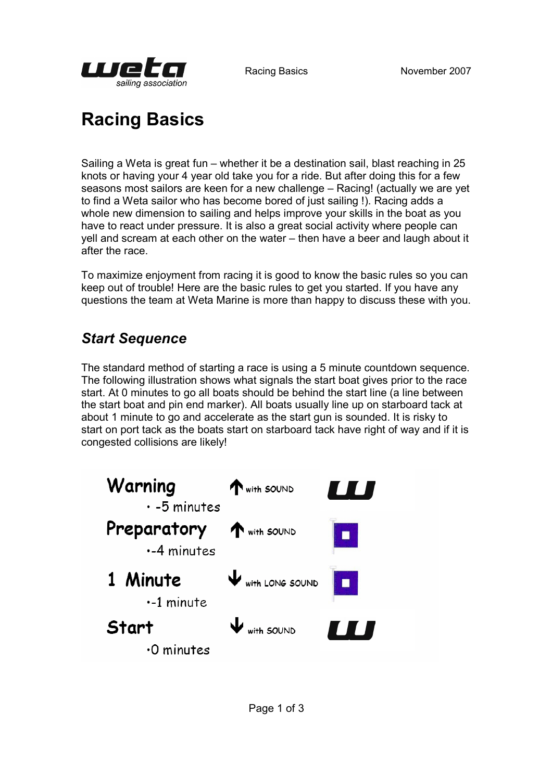

# Racing Basics

Sailing a Weta is great fun – whether it be a destination sail, blast reaching in 25 knots or having your 4 year old take you for a ride. But after doing this for a few seasons most sailors are keen for a new challenge – Racing! (actually we are yet to find a Weta sailor who has become bored of just sailing !). Racing adds a whole new dimension to sailing and helps improve your skills in the boat as you have to react under pressure. It is also a great social activity where people can yell and scream at each other on the water – then have a beer and laugh about it after the race.

To maximize enjoyment from racing it is good to know the basic rules so you can keep out of trouble! Here are the basic rules to get you started. If you have any questions the team at Weta Marine is more than happy to discuss these with you.

# Start Sequence

The standard method of starting a race is using a 5 minute countdown sequence. The following illustration shows what signals the start boat gives prior to the race start. At 0 minutes to go all boats should be behind the start line (a line between the start boat and pin end marker). All boats usually line up on starboard tack at about 1 minute to go and accelerate as the start gun is sounded. It is risky to start on port tack as the boats start on starboard tack have right of way and if it is congested collisions are likely!

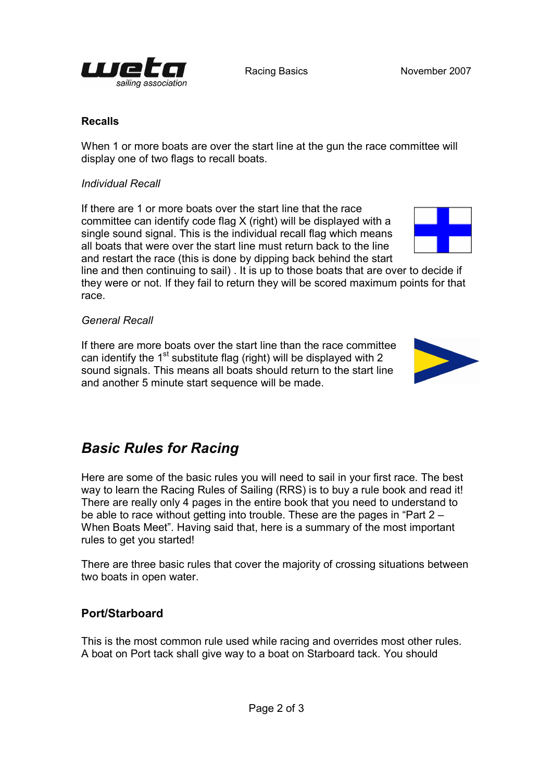

#### Recalls

When 1 or more boats are over the start line at the gun the race committee will display one of two flags to recall boats.

#### Individual Recall

If there are 1 or more boats over the start line that the race committee can identify code flag X (right) will be displayed with a single sound signal. This is the individual recall flag which means all boats that were over the start line must return back to the line and restart the race (this is done by dipping back behind the start

line and then continuing to sail) . It is up to those boats that are over to decide if they were or not. If they fail to return they will be scored maximum points for that race.

#### General Recall

If there are more boats over the start line than the race committee can identify the  $1<sup>st</sup>$  substitute flag (right) will be displayed with 2 sound signals. This means all boats should return to the start line and another 5 minute start sequence will be made.

## Basic Rules for Racing

Here are some of the basic rules you will need to sail in your first race. The best way to learn the Racing Rules of Sailing (RRS) is to buy a rule book and read it! There are really only 4 pages in the entire book that you need to understand to be able to race without getting into trouble. These are the pages in "Part 2 – When Boats Meet". Having said that, here is a summary of the most important rules to get you started!

There are three basic rules that cover the majority of crossing situations between two boats in open water.

#### Port/Starboard

This is the most common rule used while racing and overrides most other rules. A boat on Port tack shall give way to a boat on Starboard tack. You should